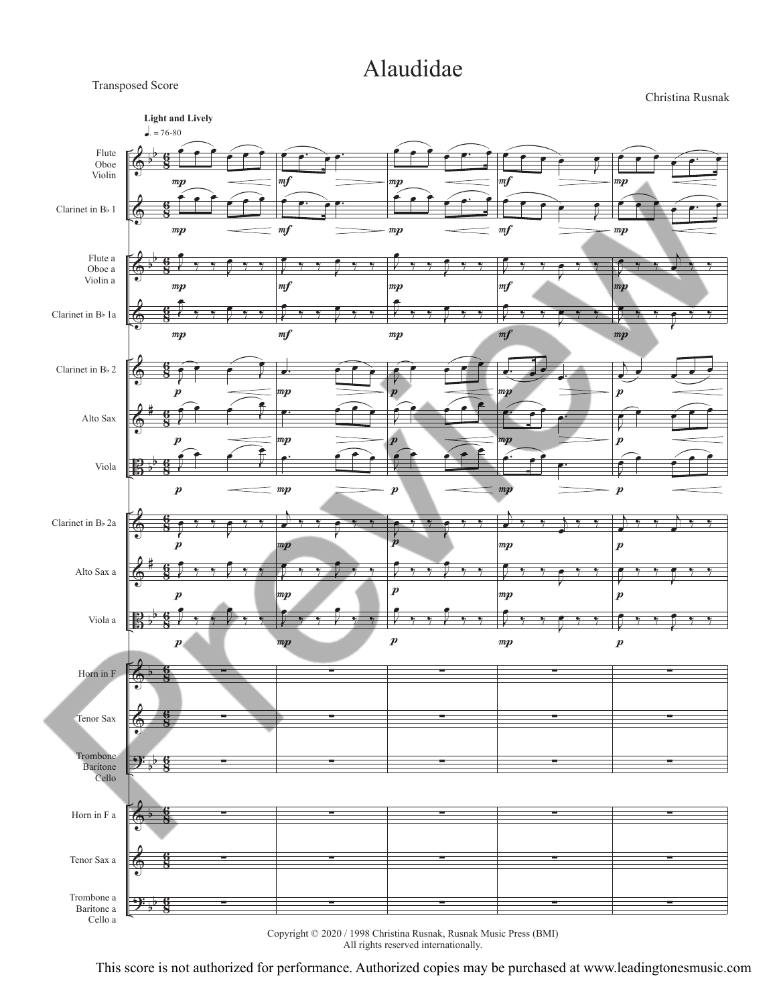Christina Rusnak

Transposed Score

 $\bm{\phi}$  $\bm{\phi}$  $\bm{\phi}$  $\bm{\phi}$  $\bm{\Phi}$  $\bm{\Phi}$ B  $\bm{\phi}$  $\bm{\phi}$ B  $\bm{\bm{\phi}}$  $\bm{\phi}$  $\Theta$ :  $\bm{\bm{\phi}}$  $\bm{\bm{\phi}}$ <u>9:</u> b b b b # b b # b b b b b b b b **8** 6 **8** 6 **8** 6 **8** 6 **8** 6 **8** 6 **8** 6 **8** 6 **8** 6 **8** 6 **8 6 8**<br>8 6 **8** 6 **8** 6 **8** 6 8 **6** Flute Oboe Violin Clarinet in  $\rm B\flat\,1$ Flute a Oboe a Violin a Clarinet in Bb 1a Clarinet in Bb 2 Alto Sax Viola Clarinet in Bb 2a Alto Sax a Viola a Horn in F Tenor Sax Trombone Baritone Cello Horn in F a Tenor Sax a Trombone a Baritone a Cello a  $\widehat{\cdots}$  $\overbrace{...}$ J  $\sqrt{2}$  ,  $\sqrt{2}$  $5 \frac{9}{7}$ J  $\sqrt{2}$   $\frac{1}{2}$  $5, 7, 7$ J  $\widehat{e}$ è J  $\widehat{c}$   $\longleftarrow$   $\widehat{c}$ è J  $\widehat{\mathfrak{g}}$ œ J  $5$   $\frac{9}{7}$   $\frac{9}{7}$  $8, 9, 9$ J  $7, 7, 7$  $\sqrt{9}$  % J  $9 \frac{1}{7}$  $9, 9$ ∑ ∑ ∑ ∑ ∑ ∑  $l = 76-80$ **Light and Lively**  $m<sub>L</sub>$  $\boldsymbol{m}$ p p  $\eta p$  $mp$ p  $\boldsymbol{p}$  $\boldsymbol{p}$ p  $\widehat{\cdot}$  $\overbrace{...}$ J  $9 \rightarrow 9$  $9 \frac{9}{7}$ J  $9, 9, 6$  $9, 9, 9$  $\overrightarrow{e}$  $\overrightarrow{e}$  $\overrightarrow{e}$  $\downarrow$  $\int$   $\frac{1}{2}$   $\frac{1}{2}$   $\frac{1}{2}$   $\int$  $9 - 9$ J  $9, 7, 9$  $\frac{1}{2}$  % J  $2 \times 9$  $\frac{2}{7}$  % ∑ ∑ ∑ ∑ ∑ ∑  $\eta f$ mf  $\eta p$  $n p$  $\eta f$  $m\bar{f}$  $\mathbf{p}$  $mp$  $\mathbf{p}$  $m_{\mathcal{L}}$  $\widehat{\mathbf{r} \cdot \mathbf{r}}$  $\overrightarrow{e}$ J  $9, 9, 9$  $5 \frac{9}{7}$ J  $\mathcal{F}$  , ,  $\mathcal{G}$  $6, 9, 9$ J  $\widehat{\mathbf{e}}$ J  $\widehat{\mathbf{e}}$ J  $\widehat{\mathbf{e}}$ J  $9 + 7$  $8, 7, 9$ ₹  $2, 7, 7$  $\sqrt{9}$ J  $\mathcal{P}$  ; ;  $\mathcal{P}$  $\sqrt{2}$ ∑ ∑ ∑ ∑ ∑ ∑  $n\chi$ p  $\eta p$ p  $\mathbf{m}\mathbf{p}$  $mp$ p  $\boldsymbol{p}$  $\boldsymbol{p}$  $\boldsymbol{p}$  $\bigodot$ œ  $\bigcap$ œ J  $\frac{1}{2}$  ,  $\frac{1}{2}$  $.99$ J  $\frac{1}{2}$   $\frac{1}{2}$   $\frac{1}{2}$  $\frac{1}{2}$  %  $\ddot{\cdot}$   $\ddot{\cdot}$  $\widehat{\cdot}$   $\cdot$  $\widehat{\cdot}$   $\cdot$  $\downarrow$  $\rightarrow$  %  $\rightarrow$  $\rightarrow$  % % J  $\frac{1}{2}$  ,  $\frac{1}{2}$  $^{\circ}$  % % J  $9, 9, 9$  $\frac{e}{2}$  % % ∑ ∑ ∑ ∑ ∑ ∑  $\boldsymbol{n}$  $\it mf$  $\mathbf{m}\mathbf{p}$  $\boldsymbol{\mathit{n}}$  $m f$  $m\bar{f}$  $_{mp}$  $m$  $p$  $\mathbf{m}\mathbf{p}$  $mp$  $\overrightarrow{e}$  $\widehat{\cdots}$ J  $\frac{1}{2}$  %  $\frac{1}{2}$  $\partial$   $\gamma$   $\gamma$ J  $\frac{9}{7}$   $\frac{9}{7}$   $\frac{9}{7}$  $.99$ j  $\frac{1}{2}$ J  $\widehat{e}$ J  $\widehat{e}$  $\overline{A}$  $\rightarrow$  %  $\rightarrow$  $\frac{1}{2}$  % J  $\frac{1}{2}$  ,  $\frac{1}{2}$  $\frac{2}{3}$  % % J  $9 \rightarrow 9$  $9 \frac{9}{7}$ ∑ ∑ ∑ ∑ ∑ ∑  $\mathbf{m}$  $m\,p$  $\boldsymbol{p}$  $\boldsymbol{p}$  $\eta p$  $\mathbf{m}\boldsymbol{p}$ p  $\boldsymbol{p}$  $\boldsymbol{p}$ p

> Copyright © 2020 / 1998 Christina Rusnak, Rusnak Music Press (BMI) All rights reserved internationally.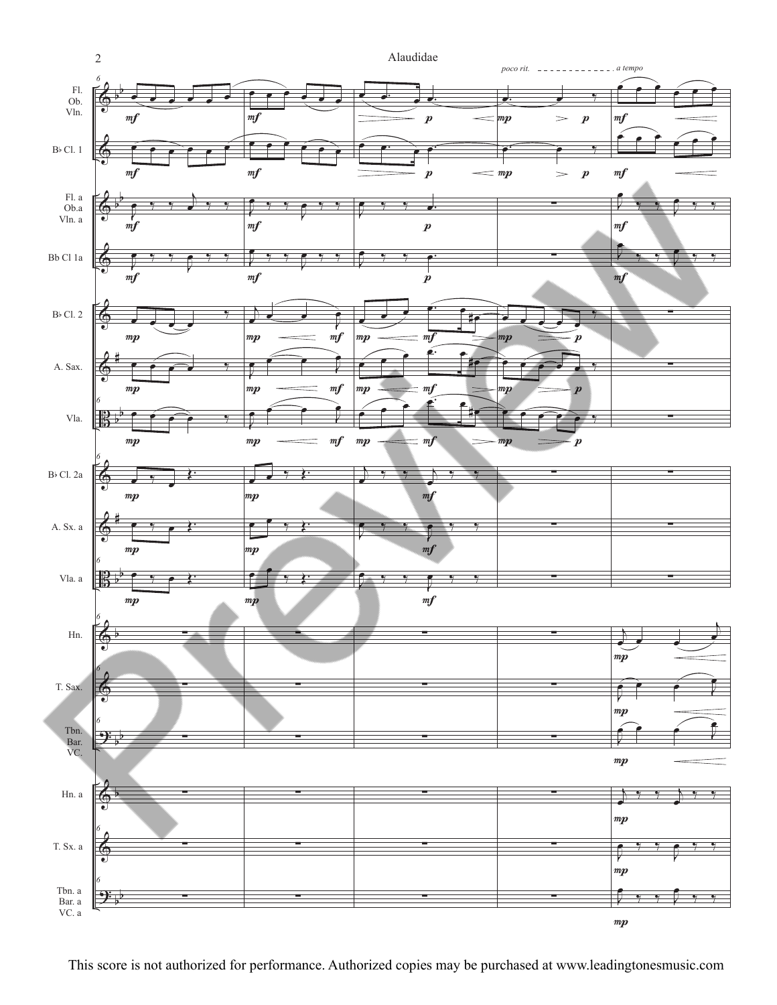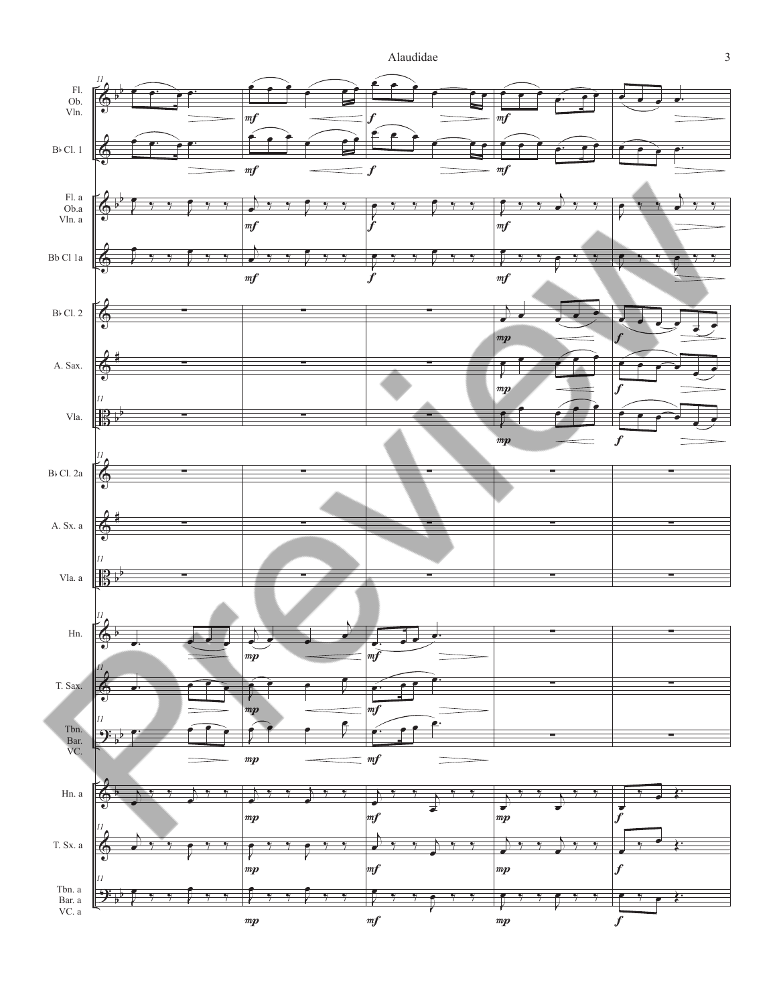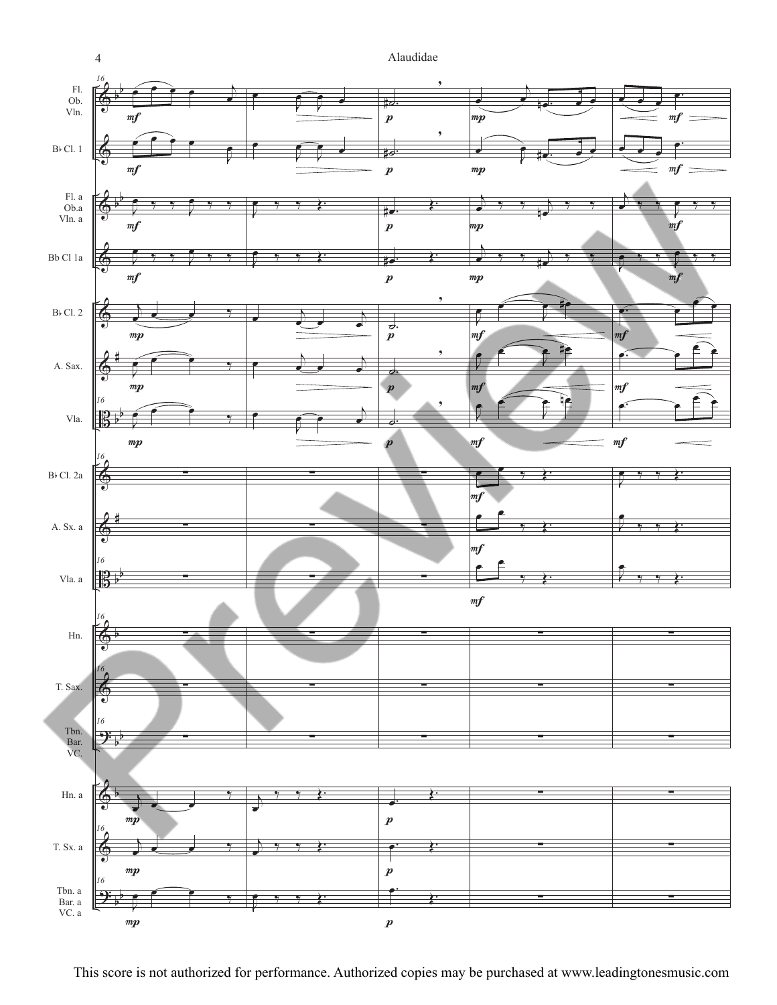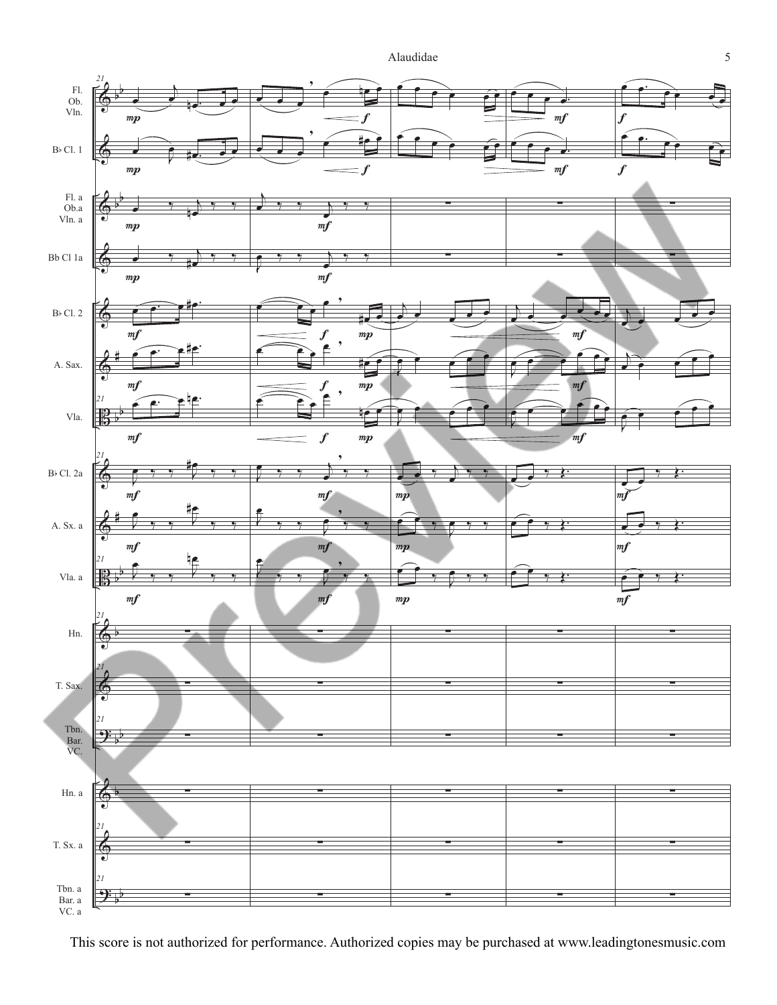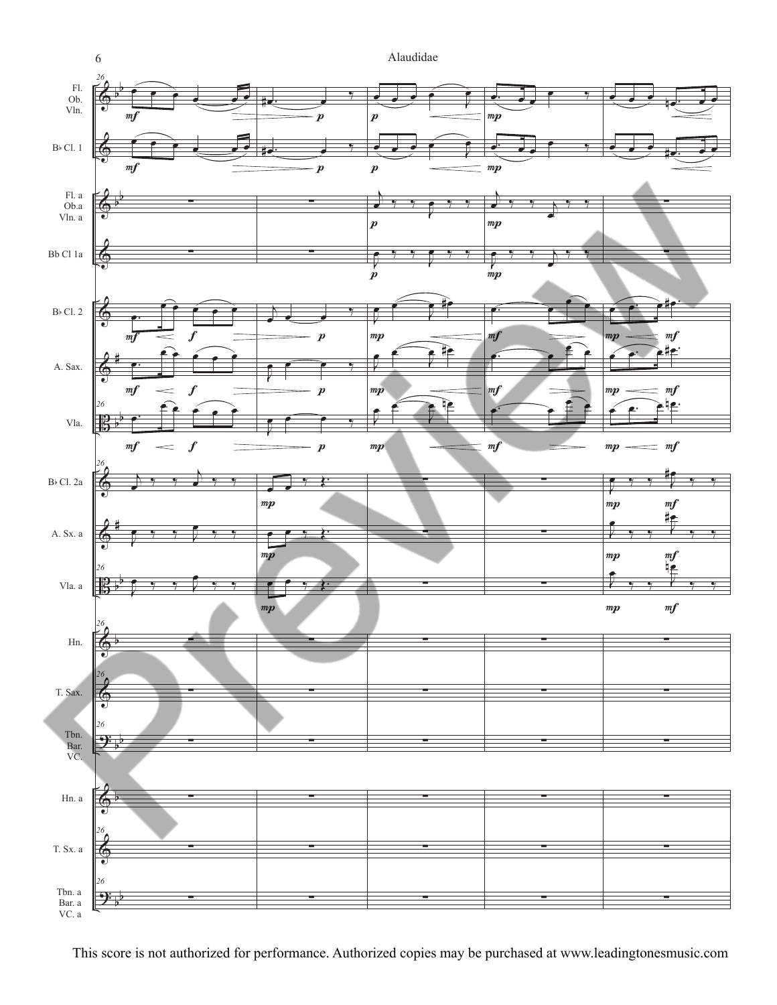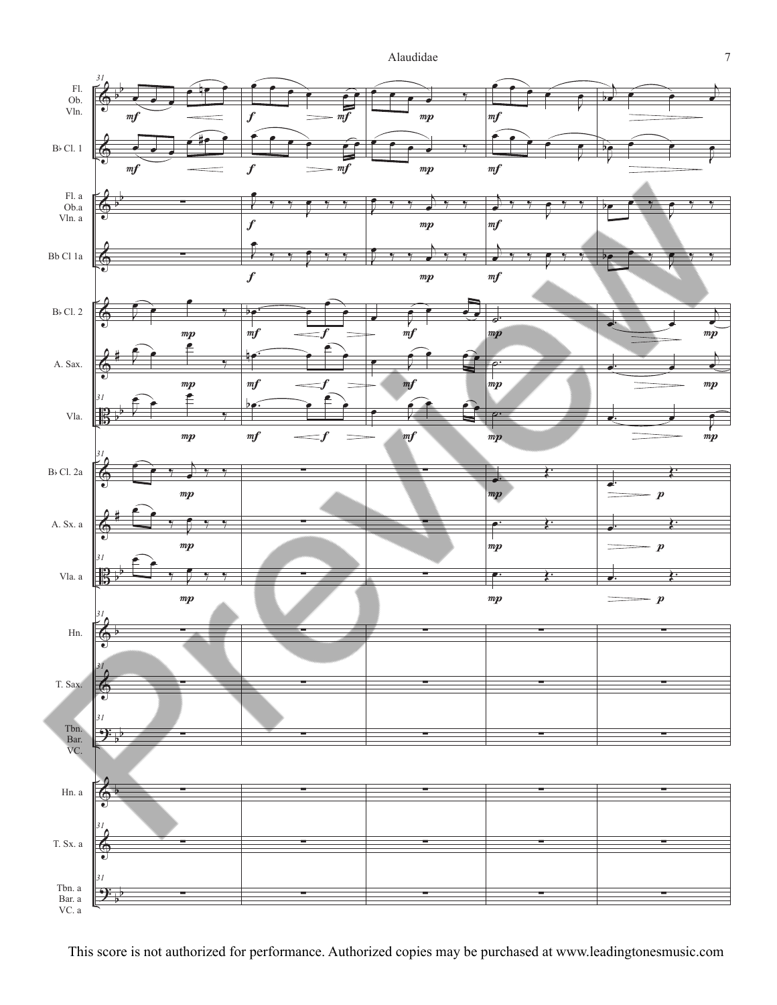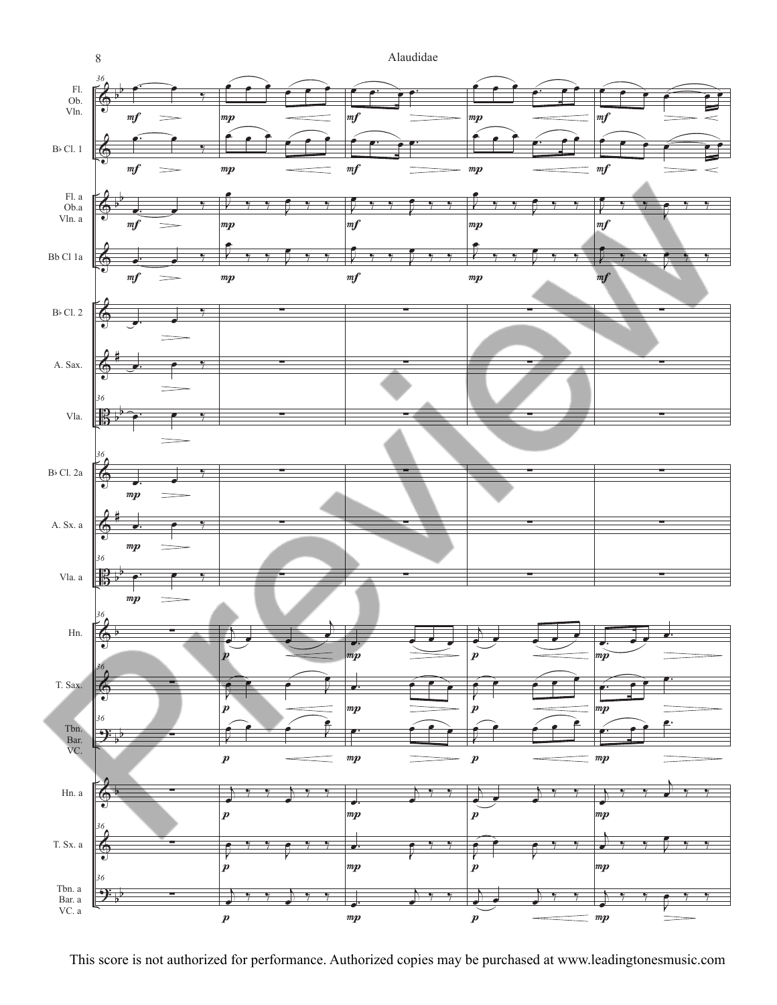

This score is not authorized for performance. Authorized copies may be purchased at www.leadingtonesmusic.com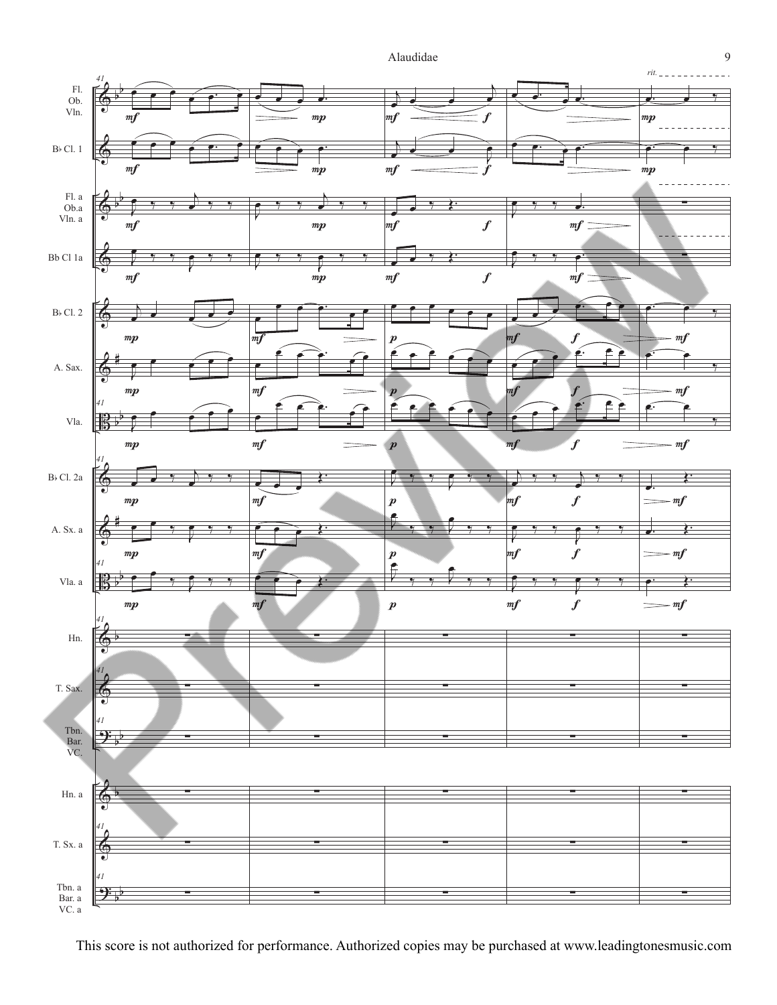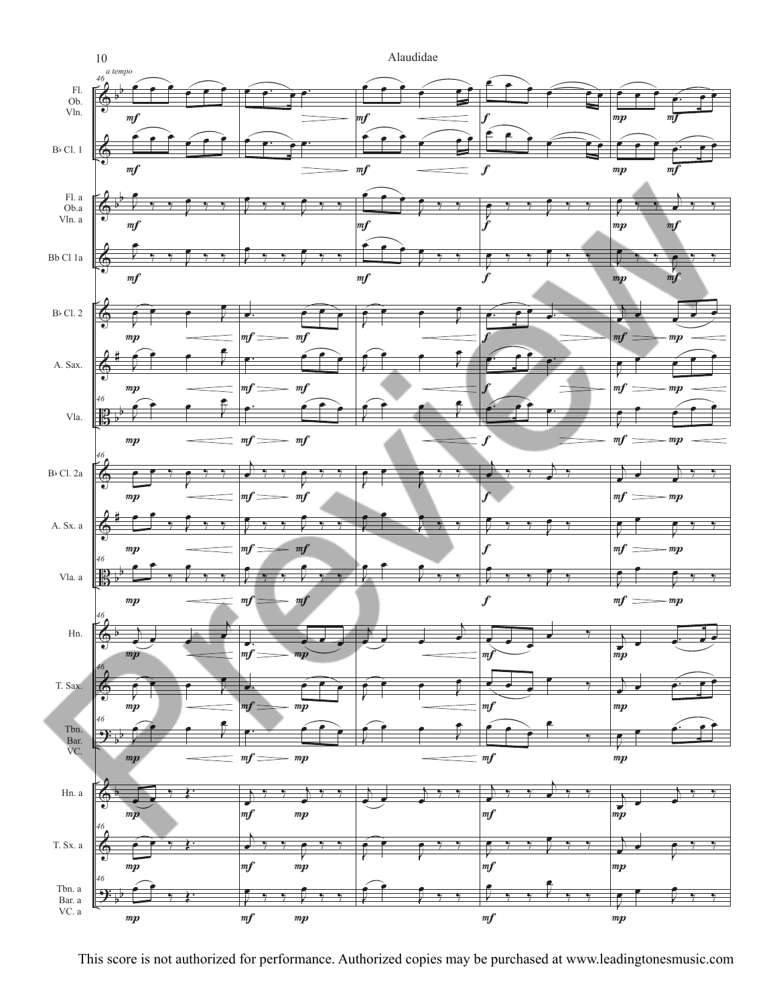

This score is not authorized for performance. Authorized copies may be purchased at www.leadingtonesmusic.com